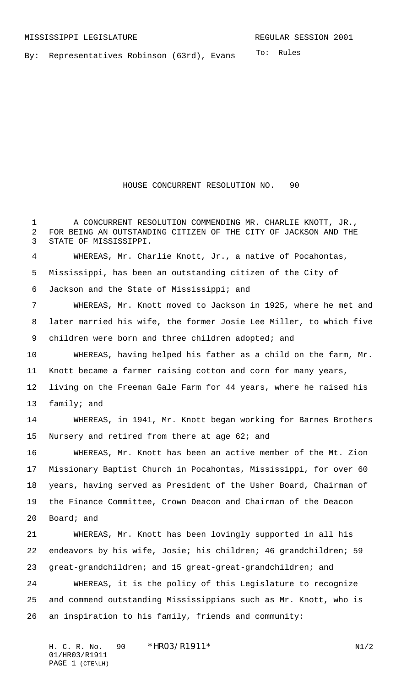To: Rules By: Representatives Robinson (63rd), Evans

HOUSE CONCURRENT RESOLUTION NO. 90

 A CONCURRENT RESOLUTION COMMENDING MR. CHARLIE KNOTT, JR., FOR BEING AN OUTSTANDING CITIZEN OF THE CITY OF JACKSON AND THE STATE OF MISSISSIPPI.

 WHEREAS, Mr. Charlie Knott, Jr., a native of Pocahontas, Mississippi, has been an outstanding citizen of the City of Jackson and the State of Mississippi; and

 WHEREAS, Mr. Knott moved to Jackson in 1925, where he met and later married his wife, the former Josie Lee Miller, to which five 9 children were born and three children adopted; and

 WHEREAS, having helped his father as a child on the farm, Mr. Knott became a farmer raising cotton and corn for many years,

 living on the Freeman Gale Farm for 44 years, where he raised his family; and

 WHEREAS, in 1941, Mr. Knott began working for Barnes Brothers Nursery and retired from there at age 62; and

 WHEREAS, Mr. Knott has been an active member of the Mt. Zion Missionary Baptist Church in Pocahontas, Mississippi, for over 60 years, having served as President of the Usher Board, Chairman of the Finance Committee, Crown Deacon and Chairman of the Deacon Board; and

 WHEREAS, Mr. Knott has been lovingly supported in all his endeavors by his wife, Josie; his children; 46 grandchildren; 59 great-grandchildren; and 15 great-great-grandchildren; and WHEREAS, it is the policy of this Legislature to recognize and commend outstanding Mississippians such as Mr. Knott, who is

an inspiration to his family, friends and community:

H. C. R. No. 90 \* HRO3/R1911\* N1/2 01/HR03/R1911 PAGE 1 (CTE\LH)